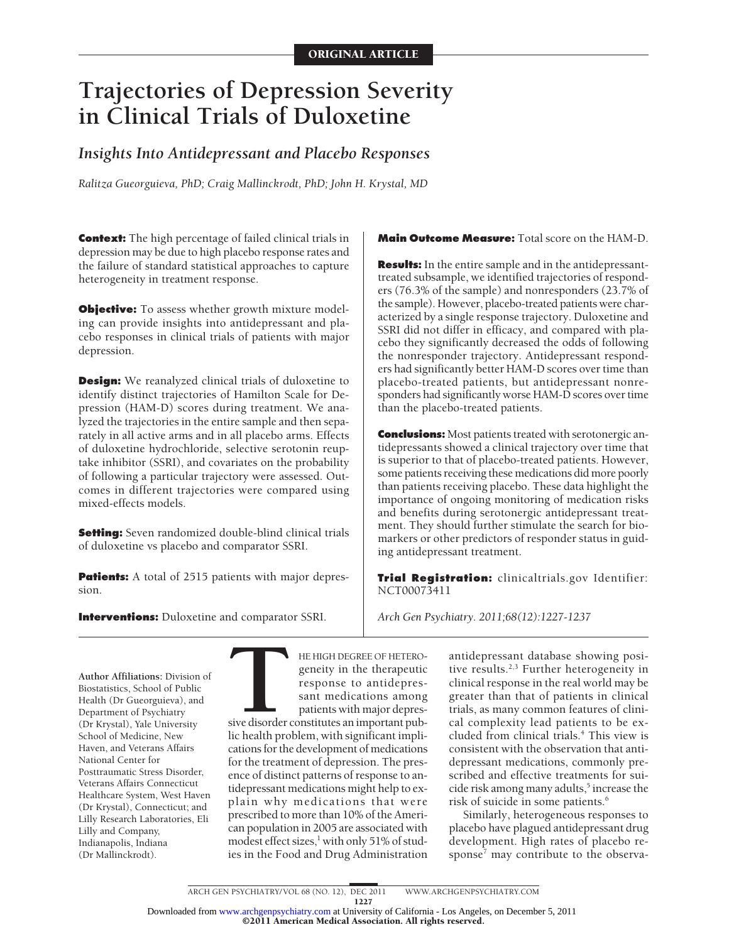# **Trajectories of Depression Severity in Clinical Trials of Duloxetine**

# *Insights Into Antidepressant and Placebo Responses*

*Ralitza Gueorguieva, PhD; Craig Mallinckrodt, PhD; John H. Krystal, MD*

**Context:** The high percentage of failed clinical trials in depression may be due to high placebo response rates and the failure of standard statistical approaches to capture heterogeneity in treatment response.

**Objective:** To assess whether growth mixture modeling can provide insights into antidepressant and placebo responses in clinical trials of patients with major depression.

**Design:** We reanalyzed clinical trials of duloxetine to identify distinct trajectories of Hamilton Scale for Depression (HAM-D) scores during treatment. We analyzed the trajectories in the entire sample and then separately in all active arms and in all placebo arms. Effects of duloxetine hydrochloride, selective serotonin reuptake inhibitor (SSRI), and covariates on the probability of following a particular trajectory were assessed. Outcomes in different trajectories were compared using mixed-effects models.

**Setting:** Seven randomized double-blind clinical trials of duloxetine vs placebo and comparator SSRI.

**Patients:** A total of 2515 patients with major depression.

**Interventions:** Duloxetine and comparator SSRI.

**Main Outcome Measure:** Total score on the HAM-D.

**Results:** In the entire sample and in the antidepressanttreated subsample, we identified trajectories of responders (76.3% of the sample) and nonresponders (23.7% of the sample). However, placebo-treated patients were characterized by a single response trajectory. Duloxetine and SSRI did not differ in efficacy, and compared with placebo they significantly decreased the odds of following the nonresponder trajectory. Antidepressant responders had significantly better HAM-D scores over time than placebo-treated patients, but antidepressant nonresponders had significantly worse HAM-D scores over time than the placebo-treated patients.

**Conclusions:** Most patients treated with serotonergic antidepressants showed a clinical trajectory over time that is superior to that of placebo-treated patients. However, some patients receiving these medications did more poorly than patients receiving placebo. These data highlight the importance of ongoing monitoring of medication risks and benefits during serotonergic antidepressant treatment. They should further stimulate the search for biomarkers or other predictors of responder status in guiding antidepressant treatment.

**Trial Registration:** clinicaltrials.gov Identifier: NCT00073411

*Arch Gen Psychiatry. 2011;68(12):1227-1237*

**Author Affiliations:** Division of Biostatistics, School of Public Health (Dr Gueorguieva), and Department of Psychiatry (Dr Krystal), Yale University School of Medicine, New Haven, and Veterans Affairs National Center for Posttraumatic Stress Disorder, Veterans Affairs Connecticut Healthcare System, West Haven (Dr Krystal), Connecticut; and Lilly Research Laboratories, Eli Lilly and Company, Indianapolis, Indiana (Dr Mallinckrodt).

HE HIGH DEGREE OF HETERO-<br>geneity in the therapeutic<br>response to antidepres-<br>sant medications among<br>patients with major depres-<br>sive disorder constitutes an important pub-<br>lic health problem, with significant impligeneity in the therapeutic response to antidepressant medications among patients with major depressive disorder constitutes an important public health problem, with significant implications for the development of medications for the treatment of depression. The presence of distinct patterns of response to antidepressant medications might help to explain why medications that were prescribed to more than 10% of the American population in 2005 are associated with modest effect sizes, $\frac{1}{2}$  with only 51% of studies in the Food and Drug Administration

antidepressant database showing positive results.<sup>2,3</sup> Further heterogeneity in clinical response in the real world may be greater than that of patients in clinical trials, as many common features of clinical complexity lead patients to be excluded from clinical trials.<sup>4</sup> This view is consistent with the observation that antidepressant medications, commonly prescribed and effective treatments for suicide risk among many adults,<sup>5</sup> increase the risk of suicide in some patients.<sup>6</sup>

Similarly, heterogeneous responses to placebo have plagued antidepressant drug development. High rates of placebo response<sup>7</sup> may contribute to the observa-

©2011 American Medical Association. All rights reserved. Downloaded from [www.archgenpsychiatry.com](http://www.archgenpsychiatry.com) at University of California - Los Angeles, on December 5, 2011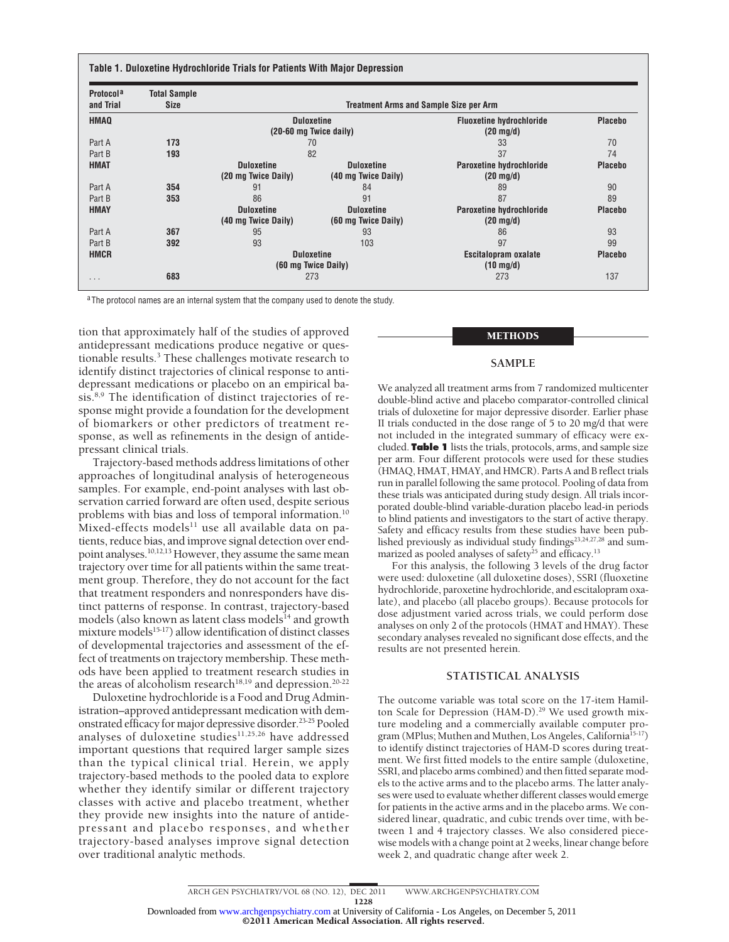| Protocol <sup>a</sup><br>and Trial | <b>Total Sample</b><br><b>Size</b> | <b>Treatment Arms and Sample Size per Arm</b> |                                             |                                                        |                |  |  |  |
|------------------------------------|------------------------------------|-----------------------------------------------|---------------------------------------------|--------------------------------------------------------|----------------|--|--|--|
| <b>HMAQ</b>                        |                                    |                                               | <b>Duloxetine</b><br>(20-60 mg Twice daily) | <b>Fluoxetine hydrochloride</b><br>$(20 \text{ mg/d})$ | <b>Placebo</b> |  |  |  |
| Part A                             | 173                                |                                               | 70                                          | 33                                                     | 70             |  |  |  |
| Part B                             | 193                                |                                               | 82                                          | 37                                                     |                |  |  |  |
| <b>HMAT</b>                        |                                    | <b>Duloxetine</b><br>(20 mg Twice Daily)      | <b>Duloxetine</b><br>(40 mg Twice Daily)    | Paroxetine hydrochloride<br>$(20 \text{ mg/d})$        | <b>Placebo</b> |  |  |  |
| Part A                             | 354                                | 91                                            | 84                                          | 89                                                     | 90             |  |  |  |
| Part B                             | 353                                | 86                                            | 91                                          | 87                                                     | 89             |  |  |  |
| <b>HMAY</b>                        |                                    | <b>Duloxetine</b><br>(40 mg Twice Daily)      | <b>Duloxetine</b><br>(60 mg Twice Daily)    | Paroxetine hydrochloride<br>$(20 \text{ mg/d})$        | <b>Placebo</b> |  |  |  |
| Part A                             | 367                                | 95                                            | 93                                          | 86                                                     | 93             |  |  |  |
| Part B                             | 392                                | 93                                            | 103                                         | 97                                                     | 99             |  |  |  |
| <b>HMCR</b>                        |                                    | <b>Duloxetine</b><br>(60 mg Twice Daily)      |                                             | Escitalopram oxalate<br>$(10 \; mg/d)$                 | <b>Placebo</b> |  |  |  |
| $\cdots$                           | 683                                | 273                                           |                                             | 273                                                    |                |  |  |  |

<sup>a</sup>The protocol names are an internal system that the company used to denote the study.

tion that approximately half of the studies of approved antidepressant medications produce negative or questionable results.3 These challenges motivate research to identify distinct trajectories of clinical response to antidepressant medications or placebo on an empirical basis.8,9 The identification of distinct trajectories of response might provide a foundation for the development of biomarkers or other predictors of treatment response, as well as refinements in the design of antidepressant clinical trials.

Trajectory-based methods address limitations of other approaches of longitudinal analysis of heterogeneous samples. For example, end-point analyses with last observation carried forward are often used, despite serious problems with bias and loss of temporal information.10 Mixed-effects models $^{11}$  use all available data on patients, reduce bias, and improve signal detection over endpoint analyses.10,12,13 However, they assume the same mean trajectory over time for all patients within the same treatment group. Therefore, they do not account for the fact that treatment responders and nonresponders have distinct patterns of response. In contrast, trajectory-based models (also known as latent class models $^{14}$  and growth mixture models<sup>15-17</sup>) allow identification of distinct classes of developmental trajectories and assessment of the effect of treatments on trajectory membership. These methods have been applied to treatment research studies in the areas of alcoholism research<sup>18,19</sup> and depression.<sup>20-22</sup>

Duloxetine hydrochloride is a Food and Drug Administration–approved antidepressant medication with demonstrated efficacy for major depressive disorder.23-25 Pooled analyses of duloxetine studies<sup>11,25,26</sup> have addressed important questions that required larger sample sizes than the typical clinical trial. Herein, we apply trajectory-based methods to the pooled data to explore whether they identify similar or different trajectory classes with active and placebo treatment, whether they provide new insights into the nature of antidepressant and placebo responses, and whether trajectory-based analyses improve signal detection over traditional analytic methods.

## METHODS

#### **SAMPLE**

We analyzed all treatment arms from 7 randomized multicenter double-blind active and placebo comparator-controlled clinical trials of duloxetine for major depressive disorder. Earlier phase II trials conducted in the dose range of 5 to 20 mg/d that were not included in the integrated summary of efficacy were excluded. **Table 1** lists the trials, protocols, arms, and sample size per arm. Four different protocols were used for these studies (HMAQ, HMAT, HMAY, and HMCR). Parts A and B reflect trials run in parallel following the same protocol. Pooling of data from these trials was anticipated during study design. All trials incorporated double-blind variable-duration placebo lead-in periods to blind patients and investigators to the start of active therapy. Safety and efficacy results from these studies have been published previously as individual study findings<sup>23,24,27,28</sup> and summarized as pooled analyses of safety<sup>25</sup> and efficacy.<sup>13</sup>

For this analysis, the following 3 levels of the drug factor were used: duloxetine (all duloxetine doses), SSRI (fluoxetine hydrochloride, paroxetine hydrochloride, and escitalopram oxalate), and placebo (all placebo groups). Because protocols for dose adjustment varied across trials, we could perform dose analyses on only 2 of the protocols (HMAT and HMAY). These secondary analyses revealed no significant dose effects, and the results are not presented herein.

## **STATISTICAL ANALYSIS**

The outcome variable was total score on the 17-item Hamilton Scale for Depression (HAM-D).<sup>29</sup> We used growth mixture modeling and a commercially available computer program (MPlus; Muthen and Muthen, Los Angeles, California<sup>15-17</sup>) to identify distinct trajectories of HAM-D scores during treatment. We first fitted models to the entire sample (duloxetine, SSRI, and placebo arms combined) and then fitted separate models to the active arms and to the placebo arms. The latter analyses were used to evaluate whether different classes would emerge for patients in the active arms and in the placebo arms. We considered linear, quadratic, and cubic trends over time, with between 1 and 4 trajectory classes. We also considered piecewise models with a change point at 2 weeks, linear change before week 2, and quadratic change after week 2.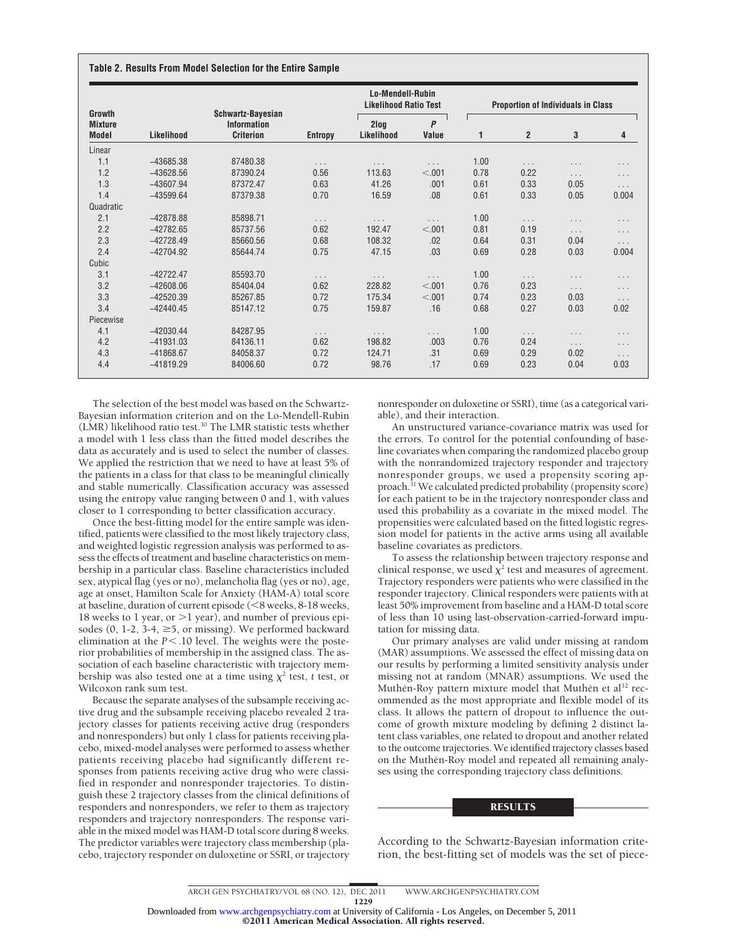#### **Table 2. Results From Model Selection for the Entire Sample**

| Growth<br><b>Mixture</b><br>Model |             | Schwartz-Bayesian<br><b>Information</b><br><b>Criterion</b> |                | Lo-Mendell-Rubin<br><b>Likelihood Ratio Test</b> | <b>Proportion of Individuals in Class</b> |      |                |          |          |
|-----------------------------------|-------------|-------------------------------------------------------------|----------------|--------------------------------------------------|-------------------------------------------|------|----------------|----------|----------|
|                                   | Likelihood  |                                                             | <b>Entropy</b> | 2log<br>Likelihood                               | P<br>Value                                | 1    | $\overline{2}$ | 3        | 4        |
| Linear                            |             |                                                             |                |                                                  |                                           |      |                |          |          |
| 1.1                               | $-43685.38$ | 87480.38                                                    | $\cdots$       | $\cdots$                                         | $\cdots$                                  | 1.00 | $\cdots$       | $\cdots$ | $\cdots$ |
| 1.2                               | $-43628.56$ | 87390.24                                                    | 0.56           | 113.63                                           | < .001                                    | 0.78 | 0.22           | $\cdots$ | $\cdots$ |
| 1.3                               | $-43607.94$ | 87372.47                                                    | 0.63           | 41.26                                            | .001                                      | 0.61 | 0.33           | 0.05     | $\cdots$ |
| 1.4                               | $-43599.64$ | 87379.38                                                    | 0.70           | 16.59                                            | .08                                       | 0.61 | 0.33           | 0.05     | 0.004    |
| Quadratic                         |             |                                                             |                |                                                  |                                           |      |                |          |          |
| 2.1                               | $-42878.88$ | 85898.71                                                    | $\cdots$       | $\cdots$                                         | $\cdots$                                  | 1.00 | $\cdots$       | .        | $\cdots$ |
| 2.2                               | $-42782.65$ | 85737.56                                                    | 0.62           | 192.47                                           | < .001                                    | 0.81 | 0.19           | $\cdots$ | $\cdots$ |
| 2.3                               | $-42728.49$ | 85660.56                                                    | 0.68           | 108.32                                           | .02                                       | 0.64 | 0.31           | 0.04     | $\cdots$ |
| 2.4                               | $-42704.92$ | 85644.74                                                    | 0.75           | 47.15                                            | .03                                       | 0.69 | 0.28           | 0.03     | 0.004    |
| Cubic                             |             |                                                             |                |                                                  |                                           |      |                |          |          |
| 3.1                               | $-42722.47$ | 85593.70                                                    | $\cdots$       | $\cdots$                                         | $\cdots$                                  | 1.00 | $\cdots$       | $\cdots$ | $\cdots$ |
| 3.2                               | $-42608.06$ | 85404.04                                                    | 0.62           | 228.82                                           | < .001                                    | 0.76 | 0.23           | $\cdots$ | $\cdots$ |
| 3.3                               | $-42520.39$ | 85267.85                                                    | 0.72           | 175.34                                           | < .001                                    | 0.74 | 0.23           | 0.03     | $\cdots$ |
| 3.4                               | $-42440.45$ | 85147.12                                                    | 0.75           | 159.87                                           | .16                                       | 0.68 | 0.27           | 0.03     | 0.02     |
| Piecewise                         |             |                                                             |                |                                                  |                                           |      |                |          |          |
| 4.1                               | $-42030.44$ | 84287.95                                                    | $\cdots$       | $\cdots$                                         | .                                         | 1.00 | $\cdots$       | $\cdots$ | $\cdots$ |
| 4.2                               | $-41931.03$ | 84136.11                                                    | 0.62           | 198.82                                           | .003                                      | 0.76 | 0.24           | $\cdots$ | $\cdots$ |
| 4.3                               | $-41868.67$ | 84058.37                                                    | 0.72           | 124.71                                           | .31                                       | 0.69 | 0.29           | 0.02     | $\cdots$ |
| 4.4                               | $-41819.29$ | 84006.60                                                    | 0.72           | 98.76                                            | .17                                       | 0.69 | 0.23           | 0.04     | 0.03     |

The selection of the best model was based on the Schwartz-Bayesian information criterion and on the Lo-Mendell-Rubin (LMR) likelihood ratio test.<sup>30</sup> The LMR statistic tests whether a model with 1 less class than the fitted model describes the data as accurately and is used to select the number of classes. We applied the restriction that we need to have at least 5% of the patients in a class for that class to be meaningful clinically and stable numerically. Classification accuracy was assessed using the entropy value ranging between 0 and 1, with values closer to 1 corresponding to better classification accuracy.

Once the best-fitting model for the entire sample was identified, patients were classified to the most likely trajectory class, and weighted logistic regression analysis was performed to assess the effects of treatment and baseline characteristics on membership in a particular class. Baseline characteristics included sex, atypical flag (yes or no), melancholia flag (yes or no), age, age at onset, Hamilton Scale for Anxiety (HAM-A) total score at baseline, duration of current episode (<8 weeks, 8-18 weeks, 18 weeks to 1 year, or  $>$ 1 year), and number of previous episodes  $(0, 1-2, 3-4, \geq 5, \text{ or missing})$ . We performed backward elimination at the  $P < 0.10$  level. The weights were the posterior probabilities of membership in the assigned class. The association of each baseline characteristic with trajectory membership was also tested one at a time using  $\chi^2$  test, *t* test, or Wilcoxon rank sum test.

Because the separate analyses of the subsample receiving active drug and the subsample receiving placebo revealed 2 trajectory classes for patients receiving active drug (responders and nonresponders) but only 1 class for patients receiving placebo, mixed-model analyses were performed to assess whether patients receiving placebo had significantly different responses from patients receiving active drug who were classified in responder and nonresponder trajectories. To distinguish these 2 trajectory classes from the clinical definitions of responders and nonresponders, we refer to them as trajectory responders and trajectory nonresponders. The response variable in the mixed model was HAM-D total score during 8 weeks. The predictor variables were trajectory class membership (placebo, trajectory responder on duloxetine or SSRI, or trajectory nonresponder on duloxetine or SSRI), time (as a categorical variable), and their interaction.

An unstructured variance-covariance matrix was used for the errors. To control for the potential confounding of baseline covariates when comparing the randomized placebo group with the nonrandomized trajectory responder and trajectory nonresponder groups, we used a propensity scoring approach.31 We calculated predicted probability (propensity score) for each patient to be in the trajectory nonresponder class and used this probability as a covariate in the mixed model. The propensities were calculated based on the fitted logistic regression model for patients in the active arms using all available baseline covariates as predictors.

To assess the relationship between trajectory response and clinical response, we used  $\chi^2$  test and measures of agreement. Trajectory responders were patients who were classified in the responder trajectory. Clinical responders were patients with at least 50% improvement from baseline and a HAM-D total score of less than 10 using last-observation-carried-forward imputation for missing data.

Our primary analyses are valid under missing at random (MAR) assumptions. We assessed the effect of missing data on our results by performing a limited sensitivity analysis under missing not at random (MNAR) assumptions. We used the Muthén-Roy pattern mixture model that Muthén et al<sup>32</sup> recommended as the most appropriate and flexible model of its class. It allows the pattern of dropout to influence the outcome of growth mixture modeling by defining 2 distinct latent class variables, one related to dropout and another related to the outcome trajectories. We identified trajectory classes based on the Muthén-Roy model and repeated all remaining analyses using the corresponding trajectory class definitions.

#### RESULTS

According to the Schwartz-Bayesian information criterion, the best-fitting set of models was the set of piece-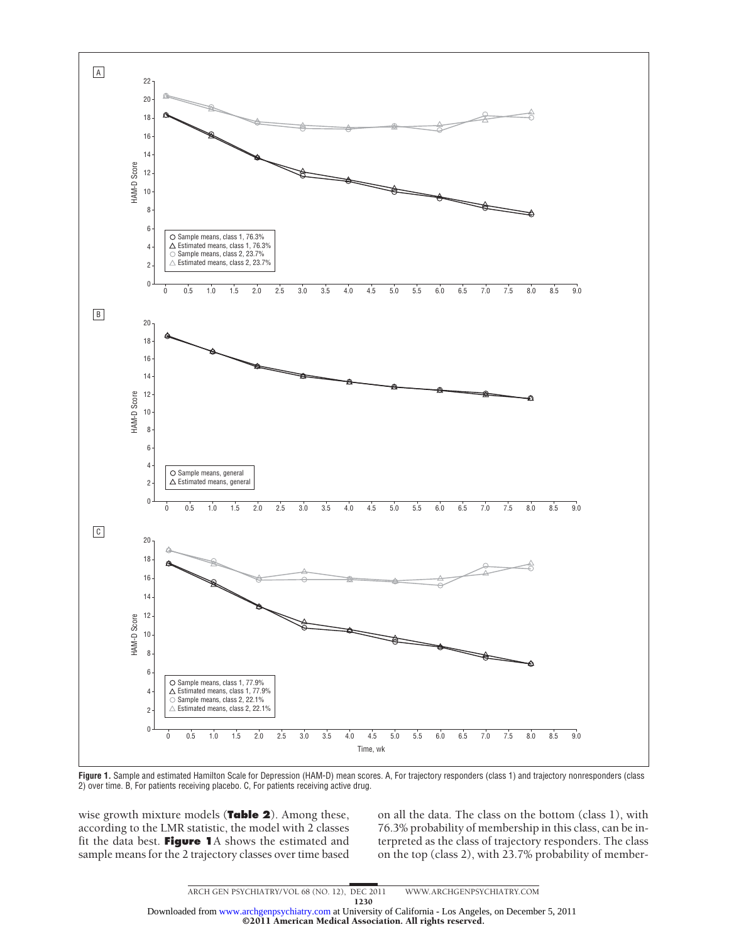

Figure 1. Sample and estimated Hamilton Scale for Depression (HAM-D) mean scores. A, For trajectory responders (class 1) and trajectory nonresponders (class 2) over time. B, For patients receiving placebo. C, For patients receiving active drug.

wise growth mixture models (**Table 2**). Among these, according to the LMR statistic, the model with 2 classes fit the data best. **Figure 1**A shows the estimated and sample means for the 2 trajectory classes over time based on all the data. The class on the bottom (class 1), with 76.3% probability of membership in this class, can be interpreted as the class of trajectory responders. The class on the top (class 2), with 23.7% probability of member-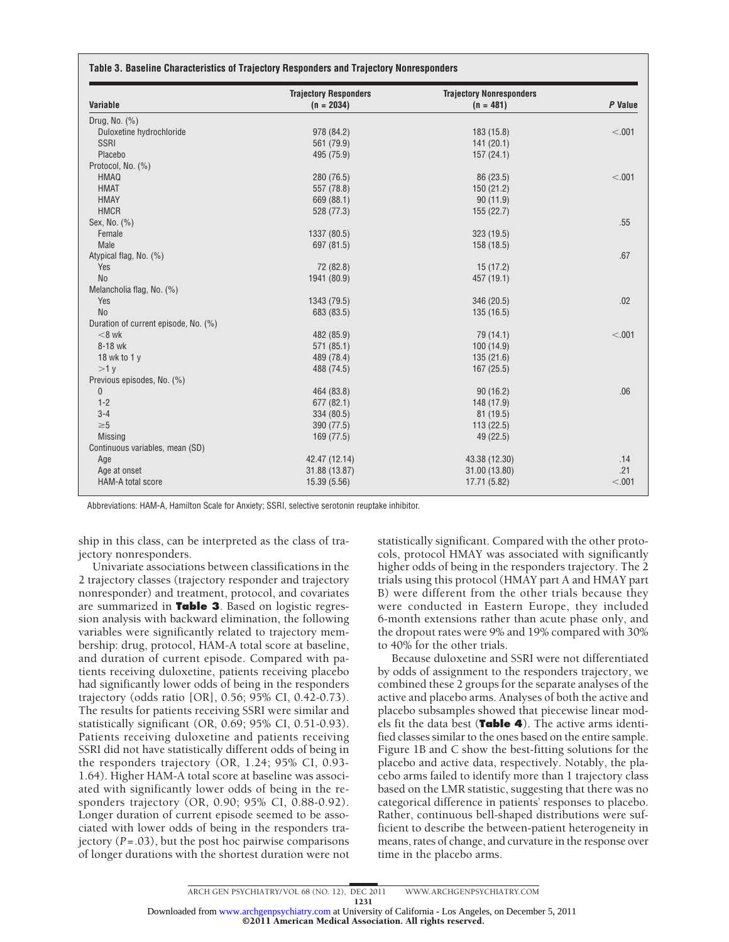| <b>Variable</b>                      | <b>Trajectory Responders</b><br>$(n = 2034)$ | <b>Trajectory Nonresponders</b><br>$(n = 481)$ | P Value |
|--------------------------------------|----------------------------------------------|------------------------------------------------|---------|
| Drug, No. (%)                        |                                              |                                                |         |
| Duloxetine hydrochloride             | 978 (84.2)                                   | 183 (15.8)                                     | < .001  |
| SSRI                                 | 561 (79.9)                                   | 141(20.1)                                      |         |
| Placebo                              | 495 (75.9)                                   | 157(24.1)                                      |         |
| Protocol, No. (%)                    |                                              |                                                |         |
| <b>HMAQ</b>                          | 280 (76.5)                                   | 86 (23.5)                                      | < .001  |
| <b>HMAT</b>                          | 557 (78.8)                                   | 150 (21.2)                                     |         |
| <b>HMAY</b>                          | 669 (88.1)                                   | 90(11.9)                                       |         |
| <b>HMCR</b>                          | 528 (77.3)                                   | 155 (22.7)                                     |         |
| Sex, No. (%)                         |                                              |                                                | .55     |
| Female                               | 1337 (80.5)                                  | 323 (19.5)                                     |         |
| Male                                 | 697 (81.5)                                   | 158 (18.5)                                     |         |
| Atypical flag, No. (%)               |                                              |                                                | .67     |
| Yes                                  | 72 (82.8)                                    | 15(17.2)                                       |         |
| <b>No</b>                            | 1941 (80.9)                                  | 457 (19.1)                                     |         |
| Melancholia flag, No. (%)            |                                              |                                                |         |
| Yes                                  | 1343 (79.5)                                  | 346 (20.5)                                     | .02     |
| <b>No</b>                            | 683 (83.5)                                   | 135 (16.5)                                     |         |
| Duration of current episode, No. (%) |                                              |                                                |         |
| $<8$ wk                              | 482 (85.9)                                   | 79 (14.1)                                      | < .001  |
| 8-18 wk                              | 571 (85.1)                                   | 100 (14.9)                                     |         |
| 18 wk to 1 y                         | 489 (78.4)                                   | 135 (21.6)                                     |         |
| $>1$ V                               | 488 (74.5)                                   | 167(25.5)                                      |         |
| Previous episodes, No. (%)           |                                              |                                                |         |
| $\mathbf{0}$                         | 464 (83.8)                                   | 90(16.2)                                       | .06     |
| $1 - 2$                              | 677 (82.1)                                   | 148 (17.9)                                     |         |
| $3 - 4$                              | 334 (80.5)                                   | 81 (19.5)                                      |         |
| $\geq 5$                             | 390 (77.5)                                   | 113(22.5)                                      |         |
| <b>Missing</b>                       | 169 (77.5)                                   | 49 (22.5)                                      |         |
| Continuous variables, mean (SD)      |                                              |                                                |         |
| Age                                  | 42.47 (12.14)                                | 43.38 (12.30)                                  | .14     |
| Age at onset                         | 31.88 (13.87)                                | 31.00 (13.80)                                  | .21     |
| HAM-A total score                    | 15.39 (5.56)                                 | 17.71 (5.82)                                   | < .001  |

Abbreviations: HAM-A, Hamilton Scale for Anxiety; SSRI, selective serotonin reuptake inhibitor.

ship in this class, can be interpreted as the class of trajectory nonresponders.

Univariate associations between classifications in the 2 trajectory classes (trajectory responder and trajectory nonresponder) and treatment, protocol, and covariates are summarized in **Table 3**. Based on logistic regression analysis with backward elimination, the following variables were significantly related to trajectory membership: drug, protocol, HAM-A total score at baseline, and duration of current episode. Compared with patients receiving duloxetine, patients receiving placebo had significantly lower odds of being in the responders trajectory (odds ratio [OR], 0.56; 95% CI, 0.42-0.73). The results for patients receiving SSRI were similar and statistically significant (OR, 0.69; 95% CI, 0.51-0.93). Patients receiving duloxetine and patients receiving SSRI did not have statistically different odds of being in the responders trajectory (OR, 1.24; 95% CI, 0.93- 1.64). Higher HAM-A total score at baseline was associated with significantly lower odds of being in the responders trajectory (OR, 0.90; 95% CI, 0.88-0.92). Longer duration of current episode seemed to be associated with lower odds of being in the responders trajectory (*P*=.03), but the post hoc pairwise comparisons of longer durations with the shortest duration were not

statistically significant. Compared with the other protocols, protocol HMAY was associated with significantly higher odds of being in the responders trajectory. The 2 trials using this protocol (HMAY part A and HMAY part B) were different from the other trials because they were conducted in Eastern Europe, they included 6-month extensions rather than acute phase only, and the dropout rates were 9% and 19% compared with 30% to 40% for the other trials.

Because duloxetine and SSRI were not differentiated by odds of assignment to the responders trajectory, we combined these 2 groups for the separate analyses of the active and placebo arms. Analyses of both the active and placebo subsamples showed that piecewise linear models fit the data best (**Table 4**). The active arms identified classes similar to the ones based on the entire sample. Figure 1B and C show the best-fitting solutions for the placebo and active data, respectively. Notably, the placebo arms failed to identify more than 1 trajectory class based on the LMR statistic, suggesting that there was no categorical difference in patients' responses to placebo. Rather, continuous bell-shaped distributions were sufficient to describe the between-patient heterogeneity in means, rates of change, and curvature in the response over time in the placebo arms.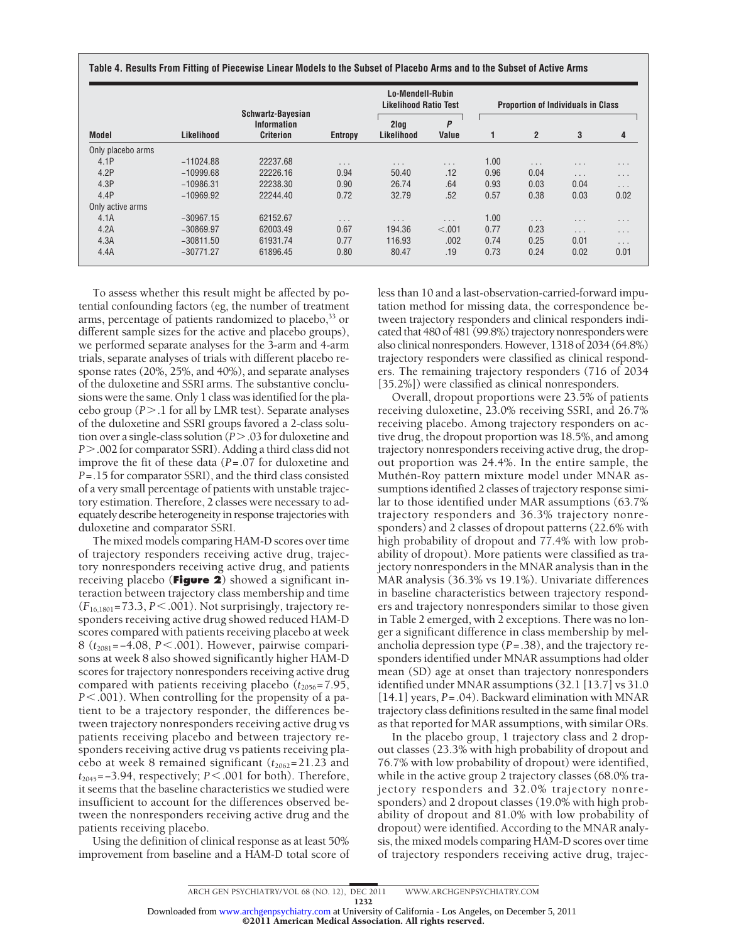|                   | Likelihood  | Schwartz-Bayesian<br><b>Information</b><br><b>Criterion</b> | <b>Entropy</b>          | Lo-Mendell-Rubin<br><b>Likelihood Ratio Test</b> |                         | <b>Proportion of Individuals in Class</b> |                |                         |                         |
|-------------------|-------------|-------------------------------------------------------------|-------------------------|--------------------------------------------------|-------------------------|-------------------------------------------|----------------|-------------------------|-------------------------|
| Model             |             |                                                             |                         | $2$ loq<br>Likelihood                            | P<br>Value              | 1                                         | $\overline{2}$ | 3                       | 4                       |
| Only placebo arms |             |                                                             |                         |                                                  |                         |                                           |                |                         |                         |
| 4.1P              | $-11024.88$ | 22237.68                                                    | $\cdot$ $\cdot$ $\cdot$ | $\cdot$ $\cdot$ $\cdot$                          | .                       | 1.00                                      | $\cdots$       | $\cdot$ $\cdot$ $\cdot$ | $\cdots$                |
| 4.2P              | $-10999.68$ | 22226.16                                                    | 0.94                    | 50.40                                            | .12                     | 0.96                                      | 0.04           | $\cdots$                | $\cdot$ $\cdot$ $\cdot$ |
| 4.3P              | $-10986.31$ | 22238.30                                                    | 0.90                    | 26.74                                            | .64                     | 0.93                                      | 0.03           | 0.04                    | $\cdot$ $\cdot$ $\cdot$ |
| 4.4P              | $-10969.92$ | 22244.40                                                    | 0.72                    | 32.79                                            | .52                     | 0.57                                      | 0.38           | 0.03                    | 0.02                    |
| Only active arms  |             |                                                             |                         |                                                  |                         |                                           |                |                         |                         |
| 4.1A              | $-30967.15$ | 62152.67                                                    | $\cdot$ $\cdot$ $\cdot$ | $\cdot$ $\cdot$ $\cdot$                          | $\cdot$ $\cdot$ $\cdot$ | 1.00                                      | $\cdots$       | $\cdot$ $\cdot$ $\cdot$ | $\cdot$ $\cdot$ $\cdot$ |
| 4.2A              | $-30869.97$ | 62003.49                                                    | 0.67                    | 194.36                                           | < 0.01                  | 0.77                                      | 0.23           | $\cdots$                | $\cdot$ $\cdot$ $\cdot$ |
| 4.3A              | $-30811.50$ | 61931.74                                                    | 0.77                    | 116.93                                           | .002                    | 0.74                                      | 0.25           | 0.01                    | $\cdot$ $\cdot$ $\cdot$ |
| 4.4A              | $-30771.27$ | 61896.45                                                    | 0.80                    | 80.47                                            | .19                     | 0.73                                      | 0.24           | 0.02                    | 0.01                    |

To assess whether this result might be affected by potential confounding factors (eg, the number of treatment arms, percentage of patients randomized to placebo,<sup>33</sup> or different sample sizes for the active and placebo groups), we performed separate analyses for the 3-arm and 4-arm trials, separate analyses of trials with different placebo response rates (20%, 25%, and 40%), and separate analyses of the duloxetine and SSRI arms. The substantive conclusions were the same. Only 1 class was identified for the placebo group ( $P > 0.1$  for all by LMR test). Separate analyses of the duloxetine and SSRI groups favored a 2-class solution over a single-class solution (*P* $> 0.03$  for duloxetine and *P*.002 for comparator SSRI). Adding a third class did not improve the fit of these data (*P*=.07 for duloxetine and *P*=.15 for comparator SSRI), and the third class consisted of a very small percentage of patients with unstable trajectory estimation. Therefore, 2 classes were necessary to adequately describe heterogeneity in response trajectories with duloxetine and comparator SSRI.

The mixed models comparing HAM-D scores over time of trajectory responders receiving active drug, trajectory nonresponders receiving active drug, and patients receiving placebo (**Figure 2**) showed a significant interaction between trajectory class membership and time (*F*16,1801=73.3, *P*-.001). Not surprisingly, trajectory responders receiving active drug showed reduced HAM-D scores compared with patients receiving placebo at week 8 (*t*<sub>2081</sub> = −4.08, *P* < .001). However, pairwise comparisons at week 8 also showed significantly higher HAM-D scores for trajectory nonresponders receiving active drug compared with patients receiving placebo  $(t_{2056}=7.95,$ *P*-.001). When controlling for the propensity of a patient to be a trajectory responder, the differences between trajectory nonresponders receiving active drug vs patients receiving placebo and between trajectory responders receiving active drug vs patients receiving placebo at week 8 remained significant  $(t_{2062}=21.23$  and *t*2045=−3.94, respectively; *P*-.001 for both). Therefore, it seems that the baseline characteristics we studied were insufficient to account for the differences observed between the nonresponders receiving active drug and the patients receiving placebo.

Using the definition of clinical response as at least 50% improvement from baseline and a HAM-D total score of

less than 10 and a last-observation-carried-forward imputation method for missing data, the correspondence between trajectory responders and clinical responders indicated that 480 of 481 (99.8%) trajectory nonresponders were also clinical nonresponders. However, 1318 of 2034 (64.8%) trajectory responders were classified as clinical responders. The remaining trajectory responders (716 of 2034 [35.2%]) were classified as clinical nonresponders.

Overall, dropout proportions were 23.5% of patients receiving duloxetine, 23.0% receiving SSRI, and 26.7% receiving placebo. Among trajectory responders on active drug, the dropout proportion was 18.5%, and among trajectory nonresponders receiving active drug, the dropout proportion was 24.4%. In the entire sample, the Muthén-Roy pattern mixture model under MNAR assumptions identified 2 classes of trajectory response similar to those identified under MAR assumptions (63.7% trajectory responders and 36.3% trajectory nonresponders) and 2 classes of dropout patterns (22.6% with high probability of dropout and 77.4% with low probability of dropout). More patients were classified as trajectory nonresponders in the MNAR analysis than in the MAR analysis (36.3% vs 19.1%). Univariate differences in baseline characteristics between trajectory responders and trajectory nonresponders similar to those given in Table 2 emerged, with 2 exceptions. There was no longer a significant difference in class membership by melancholia depression type (*P*=.38), and the trajectory responders identified under MNAR assumptions had older mean (SD) age at onset than trajectory nonresponders identified under MNAR assumptions (32.1 [13.7] vs 31.0 [14.1] years, *P*=.04). Backward elimination with MNAR trajectory class definitions resulted in the same final model as that reported for MAR assumptions, with similar ORs.

In the placebo group, 1 trajectory class and 2 dropout classes (23.3% with high probability of dropout and 76.7% with low probability of dropout) were identified, while in the active group 2 trajectory classes (68.0% trajectory responders and 32.0% trajectory nonresponders) and 2 dropout classes (19.0% with high probability of dropout and 81.0% with low probability of dropout) were identified. According to the MNAR analysis, the mixed models comparing HAM-D scores over time of trajectory responders receiving active drug, trajec-

©2011 American Medical Association. All rights reserved.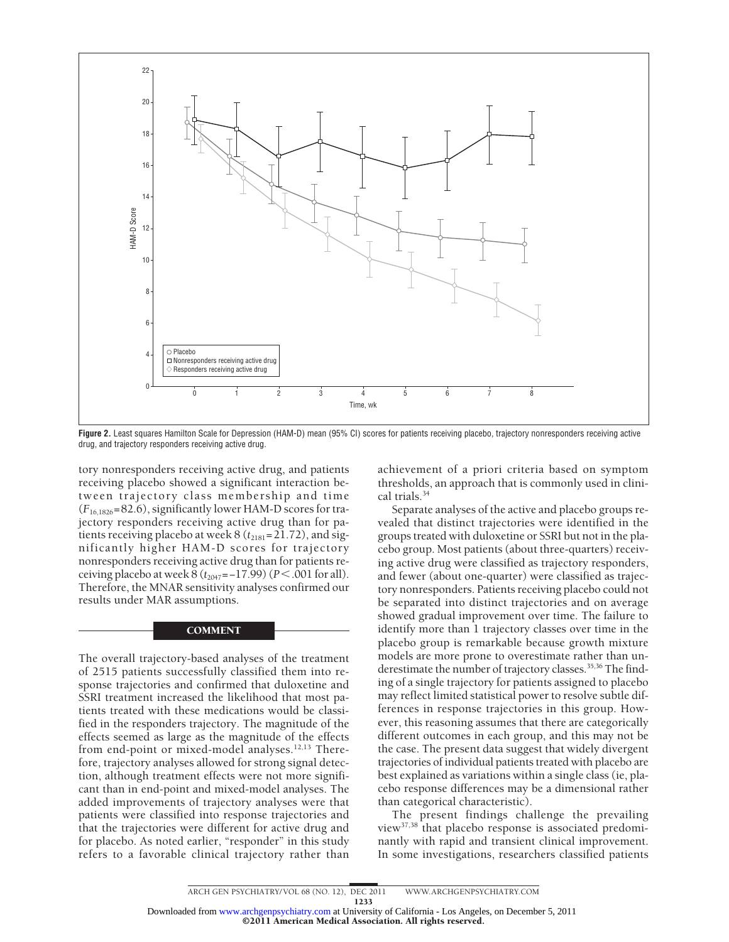

**Figure 2.** Least squares Hamilton Scale for Depression (HAM-D) mean (95% CI) scores for patients receiving placebo, trajectory nonresponders receiving active drug, and trajectory responders receiving active drug.

tory nonresponders receiving active drug, and patients receiving placebo showed a significant interaction between trajectory class membership and time (*F*16,1826=82.6), significantly lower HAM-D scores for trajectory responders receiving active drug than for patients receiving placebo at week 8 ( $t_{2181}$ =21.72), and significantly higher HAM-D scores for trajectory nonresponders receiving active drug than for patients receiving placebo at week 8 ( $t_{2047}$ =-17.99) (*P* < .001 for all). Therefore, the MNAR sensitivity analyses confirmed our results under MAR assumptions.

# COMMENT

The overall trajectory-based analyses of the treatment of 2515 patients successfully classified them into response trajectories and confirmed that duloxetine and SSRI treatment increased the likelihood that most patients treated with these medications would be classified in the responders trajectory. The magnitude of the effects seemed as large as the magnitude of the effects from end-point or mixed-model analyses.<sup>12,13</sup> Therefore, trajectory analyses allowed for strong signal detection, although treatment effects were not more significant than in end-point and mixed-model analyses. The added improvements of trajectory analyses were that patients were classified into response trajectories and that the trajectories were different for active drug and for placebo. As noted earlier, "responder" in this study refers to a favorable clinical trajectory rather than achievement of a priori criteria based on symptom thresholds, an approach that is commonly used in clinical trials.34

Separate analyses of the active and placebo groups revealed that distinct trajectories were identified in the groups treated with duloxetine or SSRI but not in the placebo group. Most patients (about three-quarters) receiving active drug were classified as trajectory responders, and fewer (about one-quarter) were classified as trajectory nonresponders. Patients receiving placebo could not be separated into distinct trajectories and on average showed gradual improvement over time. The failure to identify more than 1 trajectory classes over time in the placebo group is remarkable because growth mixture models are more prone to overestimate rather than underestimate the number of trajectory classes.<sup>35,36</sup> The finding of a single trajectory for patients assigned to placebo may reflect limited statistical power to resolve subtle differences in response trajectories in this group. However, this reasoning assumes that there are categorically different outcomes in each group, and this may not be the case. The present data suggest that widely divergent trajectories of individual patients treated with placebo are best explained as variations within a single class (ie, placebo response differences may be a dimensional rather than categorical characteristic).

The present findings challenge the prevailing view<sup>37,38</sup> that placebo response is associated predominantly with rapid and transient clinical improvement. In some investigations, researchers classified patients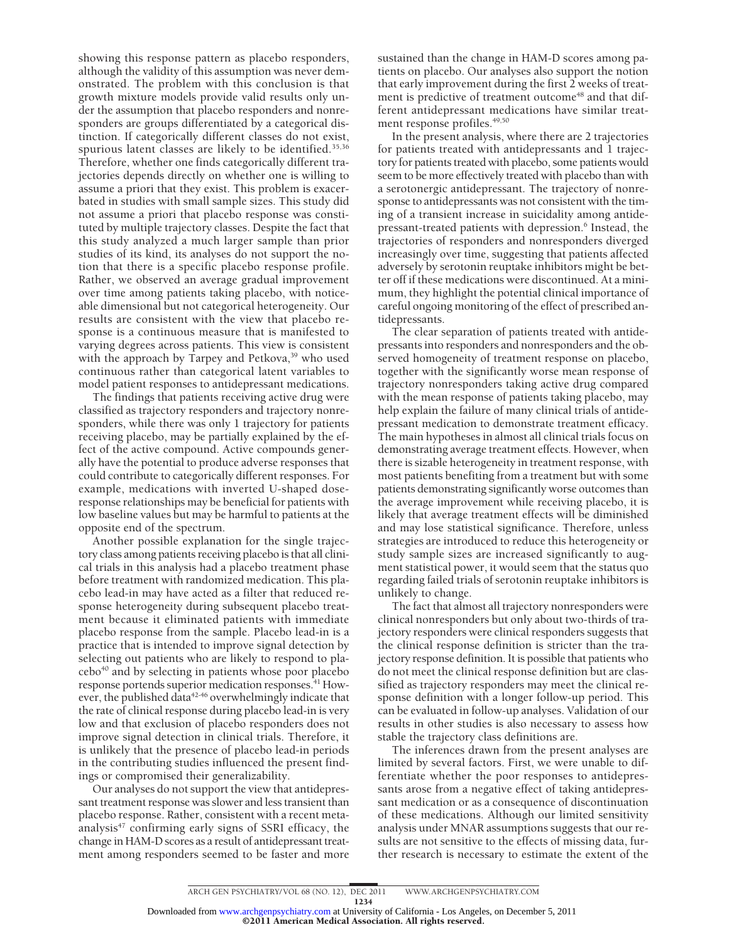showing this response pattern as placebo responders, although the validity of this assumption was never demonstrated. The problem with this conclusion is that growth mixture models provide valid results only under the assumption that placebo responders and nonresponders are groups differentiated by a categorical distinction. If categorically different classes do not exist, spurious latent classes are likely to be identified.<sup>35,36</sup> Therefore, whether one finds categorically different trajectories depends directly on whether one is willing to assume a priori that they exist. This problem is exacerbated in studies with small sample sizes. This study did not assume a priori that placebo response was constituted by multiple trajectory classes. Despite the fact that this study analyzed a much larger sample than prior studies of its kind, its analyses do not support the notion that there is a specific placebo response profile. Rather, we observed an average gradual improvement over time among patients taking placebo, with noticeable dimensional but not categorical heterogeneity. Our results are consistent with the view that placebo response is a continuous measure that is manifested to varying degrees across patients. This view is consistent with the approach by Tarpey and Petkova,<sup>39</sup> who used continuous rather than categorical latent variables to model patient responses to antidepressant medications.

The findings that patients receiving active drug were classified as trajectory responders and trajectory nonresponders, while there was only 1 trajectory for patients receiving placebo, may be partially explained by the effect of the active compound. Active compounds generally have the potential to produce adverse responses that could contribute to categorically different responses. For example, medications with inverted U-shaped doseresponse relationships may be beneficial for patients with low baseline values but may be harmful to patients at the opposite end of the spectrum.

Another possible explanation for the single trajectory class among patients receiving placebo is that all clinical trials in this analysis had a placebo treatment phase before treatment with randomized medication. This placebo lead-in may have acted as a filter that reduced response heterogeneity during subsequent placebo treatment because it eliminated patients with immediate placebo response from the sample. Placebo lead-in is a practice that is intended to improve signal detection by selecting out patients who are likely to respond to pla $cebo<sup>40</sup>$  and by selecting in patients whose poor placebo response portends superior medication responses.<sup>41</sup> However, the published data<sup>42-46</sup> overwhelmingly indicate that the rate of clinical response during placebo lead-in is very low and that exclusion of placebo responders does not improve signal detection in clinical trials. Therefore, it is unlikely that the presence of placebo lead-in periods in the contributing studies influenced the present findings or compromised their generalizability.

Our analyses do not support the view that antidepressant treatment response was slower and less transient than placebo response. Rather, consistent with a recent metaanalysis $47$  confirming early signs of SSRI efficacy, the change in HAM-D scores as a result of antidepressant treatment among responders seemed to be faster and more sustained than the change in HAM-D scores among patients on placebo. Our analyses also support the notion that early improvement during the first 2 weeks of treatment is predictive of treatment outcome<sup>48</sup> and that different antidepressant medications have similar treatment response profiles.<sup>49,50</sup>

In the present analysis, where there are 2 trajectories for patients treated with antidepressants and 1 trajectory for patients treated with placebo, some patients would seem to be more effectively treated with placebo than with a serotonergic antidepressant. The trajectory of nonresponse to antidepressants was not consistent with the timing of a transient increase in suicidality among antidepressant-treated patients with depression.<sup>6</sup> Instead, the trajectories of responders and nonresponders diverged increasingly over time, suggesting that patients affected adversely by serotonin reuptake inhibitors might be better off if these medications were discontinued. At a minimum, they highlight the potential clinical importance of careful ongoing monitoring of the effect of prescribed antidepressants.

The clear separation of patients treated with antidepressants into responders and nonresponders and the observed homogeneity of treatment response on placebo, together with the significantly worse mean response of trajectory nonresponders taking active drug compared with the mean response of patients taking placebo, may help explain the failure of many clinical trials of antidepressant medication to demonstrate treatment efficacy. The main hypotheses in almost all clinical trials focus on demonstrating average treatment effects. However, when there is sizable heterogeneity in treatment response, with most patients benefiting from a treatment but with some patients demonstrating significantly worse outcomes than the average improvement while receiving placebo, it is likely that average treatment effects will be diminished and may lose statistical significance. Therefore, unless strategies are introduced to reduce this heterogeneity or study sample sizes are increased significantly to augment statistical power, it would seem that the status quo regarding failed trials of serotonin reuptake inhibitors is unlikely to change.

The fact that almost all trajectory nonresponders were clinical nonresponders but only about two-thirds of trajectory responders were clinical responders suggests that the clinical response definition is stricter than the trajectory response definition. It is possible that patients who do not meet the clinical response definition but are classified as trajectory responders may meet the clinical response definition with a longer follow-up period. This can be evaluated in follow-up analyses. Validation of our results in other studies is also necessary to assess how stable the trajectory class definitions are.

The inferences drawn from the present analyses are limited by several factors. First, we were unable to differentiate whether the poor responses to antidepressants arose from a negative effect of taking antidepressant medication or as a consequence of discontinuation of these medications. Although our limited sensitivity analysis under MNAR assumptions suggests that our results are not sensitive to the effects of missing data, further research is necessary to estimate the extent of the

©2011 American Medical Association. All rights reserved. Downloaded from [www.archgenpsychiatry.com](http://www.archgenpsychiatry.com) at University of California - Los Angeles, on December 5, 2011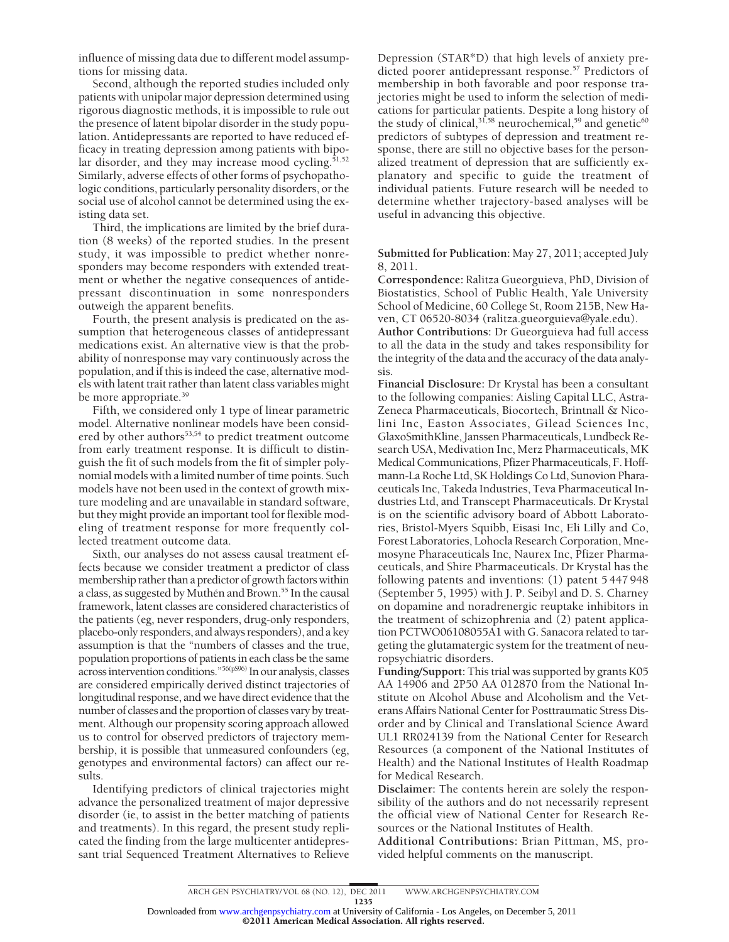influence of missing data due to different model assumptions for missing data.

Second, although the reported studies included only patients with unipolar major depression determined using rigorous diagnostic methods, it is impossible to rule out the presence of latent bipolar disorder in the study population. Antidepressants are reported to have reduced efficacy in treating depression among patients with bipolar disorder, and they may increase mood cycling. $51,52$ Similarly, adverse effects of other forms of psychopathologic conditions, particularly personality disorders, or the social use of alcohol cannot be determined using the existing data set.

Third, the implications are limited by the brief duration (8 weeks) of the reported studies. In the present study, it was impossible to predict whether nonresponders may become responders with extended treatment or whether the negative consequences of antidepressant discontinuation in some nonresponders outweigh the apparent benefits.

Fourth, the present analysis is predicated on the assumption that heterogeneous classes of antidepressant medications exist. An alternative view is that the probability of nonresponse may vary continuously across the population, and if this is indeed the case, alternative models with latent trait rather than latent class variables might be more appropriate.<sup>39</sup>

Fifth, we considered only 1 type of linear parametric model. Alternative nonlinear models have been considered by other authors<sup>53,54</sup> to predict treatment outcome from early treatment response. It is difficult to distinguish the fit of such models from the fit of simpler polynomial models with a limited number of time points. Such models have not been used in the context of growth mixture modeling and are unavailable in standard software, but they might provide an important tool for flexible modeling of treatment response for more frequently collected treatment outcome data.

Sixth, our analyses do not assess causal treatment effects because we consider treatment a predictor of class membership rather than a predictor of growth factors within a class, as suggested by Muthén and Brown.<sup>55</sup> In the causal framework, latent classes are considered characteristics of the patients (eg, never responders, drug-only responders, placebo-only responders, and always responders), and a key assumption is that the "numbers of classes and the true, population proportions of patients in each class be the same  $\frac{1}{2}$  across intervention conditions."<sup>56(pS96)</sup> In our analysis, classes are considered empirically derived distinct trajectories of longitudinal response, and we have direct evidence that the number of classes and the proportion of classes vary by treatment. Although our propensity scoring approach allowed us to control for observed predictors of trajectory membership, it is possible that unmeasured confounders (eg, genotypes and environmental factors) can affect our results.

Identifying predictors of clinical trajectories might advance the personalized treatment of major depressive disorder (ie, to assist in the better matching of patients and treatments). In this regard, the present study replicated the finding from the large multicenter antidepressant trial Sequenced Treatment Alternatives to Relieve

Depression (STAR\*D) that high levels of anxiety predicted poorer antidepressant response.<sup>57</sup> Predictors of membership in both favorable and poor response trajectories might be used to inform the selection of medications for particular patients. Despite a long history of the study of clinical, $31,58$  neurochemical, $59$  and genetic $60$ predictors of subtypes of depression and treatment response, there are still no objective bases for the personalized treatment of depression that are sufficiently explanatory and specific to guide the treatment of individual patients. Future research will be needed to determine whether trajectory-based analyses will be useful in advancing this objective.

# **Submitted for Publication:** May 27, 2011; accepted July 8, 2011.

**Correspondence:** Ralitza Gueorguieva, PhD, Division of Biostatistics, School of Public Health, Yale University School of Medicine, 60 College St, Room 215B, New Haven, CT 06520-8034 (ralitza.gueorguieva@yale.edu).

**Author Contributions:** Dr Gueorguieva had full access to all the data in the study and takes responsibility for the integrity of the data and the accuracy of the data analysis.

**Financial Disclosure:** Dr Krystal has been a consultant to the following companies: Aisling Capital LLC, Astra-Zeneca Pharmaceuticals, Biocortech, Brintnall & Nicolini Inc, Easton Associates, Gilead Sciences Inc, GlaxoSmithKline, Janssen Pharmaceuticals, Lundbeck Research USA, Medivation Inc, Merz Pharmaceuticals, MK Medical Communications, Pfizer Pharmaceuticals, F. Hoffmann-La Roche Ltd, SK Holdings Co Ltd, Sunovion Pharaceuticals Inc, Takeda Industries, Teva Pharmaceutical Industries Ltd, and Transcept Pharmaceuticals. Dr Krystal is on the scientific advisory board of Abbott Laboratories, Bristol-Myers Squibb, Eisasi Inc, Eli Lilly and Co, Forest Laboratories, Lohocla Research Corporation, Mnemosyne Pharaceuticals Inc, Naurex Inc, Pfizer Pharmaceuticals, and Shire Pharmaceuticals. Dr Krystal has the following patents and inventions: (1) patent 5 447 948 (September 5, 1995) with J. P. Seibyl and D. S. Charney on dopamine and noradrenergic reuptake inhibitors in the treatment of schizophrenia and (2) patent application PCTWO06108055A1 with G. Sanacora related to targeting the glutamatergic system for the treatment of neuropsychiatric disorders.

**Funding/Support:** This trial was supported by grants K05 AA 14906 and 2P50 AA 012870 from the National Institute on Alcohol Abuse and Alcoholism and the Veterans Affairs National Center for Posttraumatic Stress Disorder and by Clinical and Translational Science Award UL1 RR024139 from the National Center for Research Resources (a component of the National Institutes of Health) and the National Institutes of Health Roadmap for Medical Research.

**Disclaimer:** The contents herein are solely the responsibility of the authors and do not necessarily represent the official view of National Center for Research Resources or the National Institutes of Health.

**Additional Contributions:** Brian Pittman, MS, provided helpful comments on the manuscript.

1235

©2011 American Medical Association. All rights reserved. Downloaded from [www.archgenpsychiatry.com](http://www.archgenpsychiatry.com) at University of California - Los Angeles, on December 5, 2011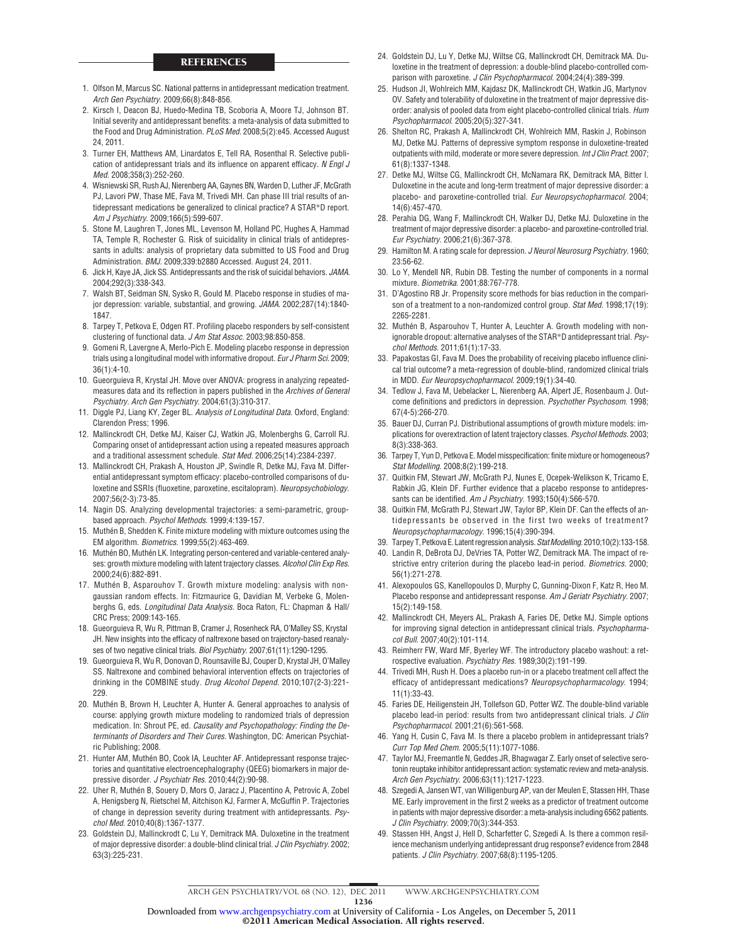#### **REFERENCES**

- 1. Olfson M, Marcus SC. National patterns in antidepressant medication treatment. *Arch Gen Psychiatry*. 2009;66(8):848-856.
- 2. Kirsch I, Deacon BJ, Huedo-Medina TB, Scoboria A, Moore TJ, Johnson BT. Initial severity and antidepressant benefits: a meta-analysis of data submitted to the Food and Drug Administration. *PLoS Med*. 2008;5(2):e45. Accessed August 24, 2011.
- 3. Turner EH, Matthews AM, Linardatos E, Tell RA, Rosenthal R. Selective publication of antidepressant trials and its influence on apparent efficacy. *N Engl J Med*. 2008;358(3):252-260.
- 4. Wisniewski SR, Rush AJ, Nierenberg AA, Gaynes BN, Warden D, Luther JF, McGrath PJ, Lavori PW, Thase ME, Fava M, Trivedi MH. Can phase III trial results of antidepressant medications be generalized to clinical practice? A STAR\*D report. *Am J Psychiatry*. 2009;166(5):599-607.
- 5. Stone M, Laughren T, Jones ML, Levenson M, Holland PC, Hughes A, Hammad TA, Temple R, Rochester G. Risk of suicidality in clinical trials of antidepressants in adults: analysis of proprietary data submitted to US Food and Drug Administration. *BMJ*. 2009;339:b2880 Accessed. August 24, 2011.
- 6. Jick H, Kaye JA, Jick SS. Antidepressants and the risk of suicidal behaviors. *JAMA*. 2004;292(3):338-343.
- 7. Walsh BT, Seidman SN, Sysko R, Gould M. Placebo response in studies of major depression: variable, substantial, and growing. *JAMA*. 2002;287(14):1840- 1847.
- 8. Tarpey T, Petkova E, Odgen RT. Profiling placebo responders by self-consistent clustering of functional data. *J Am Stat Assoc*. 2003;98:850-858.
- 9. Gomeni R, Lavergne A, Merlo-Pich E. Modeling placebo response in depression trials using a longitudinal model with informative dropout. *Eur J Pharm Sci*. 2009; 36(1):4-10.
- 10. Gueorguieva R, Krystal JH. Move over ANOVA: progress in analyzing repeatedmeasures data and its reflection in papers published in the *Archives of General Psychiatry. Arch Gen Psychiatry*. 2004;61(3):310-317.
- 11. Diggle PJ, Liang KY, Zeger BL. *Analysis of Longitudinal Data.* Oxford, England: Clarendon Press; 1996.
- 12. Mallinckrodt CH, Detke MJ, Kaiser CJ, Watkin JG, Molenberghs G, Carroll RJ. Comparing onset of antidepressant action using a repeated measures approach and a traditional assessment schedule. *Stat Med*. 2006;25(14):2384-2397.
- 13. Mallinckrodt CH, Prakash A, Houston JP, Swindle R, Detke MJ, Fava M. Differential antidepressant symptom efficacy: placebo-controlled comparisons of duloxetine and SSRIs (fluoxetine, paroxetine, escitalopram). *Neuropsychobiology*. 2007;56(2-3):73-85.
- 14. Nagin DS. Analyzing developmental trajectories: a semi-parametric, groupbased approach. *Psychol Methods*. 1999;4:139-157.
- 15. Muthén B, Shedden K. Finite mixture modeling with mixture outcomes using the EM algorithm. *Biometrics*. 1999;55(2):463-469.
- 16. Muthén BO, Muthén LK. Integrating person-centered and variable-centered analyses: growth mixture modeling with latent trajectory classes. *Alcohol Clin Exp Res*. 2000;24(6):882-891.
- 17. Muthén B, Asparouhov T. Growth mixture modeling: analysis with nongaussian random effects. In: Fitzmaurice G, Davidian M, Verbeke G, Molenberghs G, eds. *Longitudinal Data Analysis.* Boca Raton, FL: Chapman & Hall/ CRC Press; 2009:143-165.
- 18. Gueorguieva R, Wu R, Pittman B, Cramer J, Rosenheck RA, O'Malley SS, Krystal JH. New insights into the efficacy of naltrexone based on trajectory-based reanalyses of two negative clinical trials. *Biol Psychiatry*. 2007;61(11):1290-1295.
- 19. Gueorguieva R, Wu R, Donovan D, Rounsaville BJ, Couper D, Krystal JH, O'Malley SS. Naltrexone and combined behavioral intervention effects on trajectories of drinking in the COMBINE study. *Drug Alcohol Depend*. 2010;107(2-3):221- 229.
- 20. Muthén B, Brown H, Leuchter A, Hunter A. General approaches to analysis of course: applying growth mixture modeling to randomized trials of depression medication. In: Shrout PE, ed. *Causality and Psychopathology: Finding the Determinants of Disorders and Their Cures.* Washington, DC: American Psychiatric Publishing; 2008.
- 21. Hunter AM, Muthén BO, Cook IA, Leuchter AF. Antidepressant response trajectories and quantitative electroencephalography (QEEG) biomarkers in major depressive disorder. *J Psychiatr Res*. 2010;44(2):90-98.
- 22. Uher R, Muthén B, Souery D, Mors O, Jaracz J, Placentino A, Petrovic A, Zobel A, Henigsberg N, Rietschel M, Aitchison KJ, Farmer A, McGuffin P. Trajectories of change in depression severity during treatment with antidepressants. *Psychol Med*. 2010;40(8):1367-1377.
- 23. Goldstein DJ, Mallinckrodt C, Lu Y, Demitrack MA. Duloxetine in the treatment of major depressive disorder: a double-blind clinical trial. *J Clin Psychiatry*. 2002; 63(3):225-231.
- 24. Goldstein DJ, Lu Y, Detke MJ, Wiltse CG, Mallinckrodt CH, Demitrack MA. Duloxetine in the treatment of depression: a double-blind placebo-controlled comparison with paroxetine. *J Clin Psychopharmacol*. 2004;24(4):389-399.
- 25. Hudson JI, Wohlreich MM, Kajdasz DK, Mallinckrodt CH, Watkin JG, Martynov OV. Safety and tolerability of duloxetine in the treatment of major depressive disorder: analysis of pooled data from eight placebo-controlled clinical trials. *Hum Psychopharmacol*. 2005;20(5):327-341.
- 26. Shelton RC, Prakash A, Mallinckrodt CH, Wohlreich MM, Raskin J, Robinson MJ, Detke MJ. Patterns of depressive symptom response in duloxetine-treated outpatients with mild, moderate or more severe depression. *Int J Clin Pract*. 2007; 61(8):1337-1348.
- 27. Detke MJ, Wiltse CG, Mallinckrodt CH, McNamara RK, Demitrack MA, Bitter I. Duloxetine in the acute and long-term treatment of major depressive disorder: a placebo- and paroxetine-controlled trial. *Eur Neuropsychopharmacol*. 2004; 14(6):457-470.
- 28. Perahia DG, Wang F, Mallinckrodt CH, Walker DJ, Detke MJ. Duloxetine in the treatment of major depressive disorder: a placebo- and paroxetine-controlled trial. *Eur Psychiatry*. 2006;21(6):367-378.
- 29. Hamilton M. A rating scale for depression. *J Neurol Neurosurg Psychiatry*. 1960; 23:56-62.
- 30. Lo Y, Mendell NR, Rubin DB. Testing the number of components in a normal mixture. *Biometrika*. 2001;88:767-778.
- 31. D'Agostino RB Jr. Propensity score methods for bias reduction in the comparison of a treatment to a non-randomized control group. *Stat Med*. 1998;17(19): 2265-2281.
- 32. Muthén B, Asparouhov T, Hunter A, Leuchter A. Growth modeling with nonignorable dropout: alternative analyses of the STAR\*D antidepressant trial. *Psychol Methods*. 2011;61(1):17-33.
- 33. Papakostas GI, Fava M. Does the probability of receiving placebo influence clinical trial outcome? a meta-regression of double-blind, randomized clinical trials in MDD. *Eur Neuropsychopharmacol*. 2009;19(1):34-40.
- 34. Tedlow J, Fava M, Uebelacker L, Nierenberg AA, Alpert JE, Rosenbaum J. Outcome definitions and predictors in depression. *Psychother Psychosom*. 1998; 67(4-5):266-270.
- 35. Bauer DJ, Curran PJ. Distributional assumptions of growth mixture models: implications for overextraction of latent trajectory classes. *Psychol Methods*. 2003; 8(3):338-363.
- 36. Tarpey T, Yun D, Petkova E. Model misspecification: finite mixture or homogeneous? *Stat Modelling*. 2008;8(2):199-218.
- 37. Quitkin FM, Stewart JW, McGrath PJ, Nunes E, Ocepek-Welikson K, Tricamo E, Rabkin JG, Klein DF. Further evidence that a placebo response to antidepressants can be identified. *Am J Psychiatry*. 1993;150(4):566-570.
- 38. Quitkin FM, McGrath PJ, Stewart JW, Taylor BP, Klein DF. Can the effects of antidepressants be observed in the first two weeks of treatment? *Neuropsychopharmacology*. 1996;15(4):390-394.
- 39. Tarpey T,PetkovaE.Latentregressionanalysis.*StatModelling*.2010;10(2):133-158.
- 40. Landin R, DeBrota DJ, DeVries TA, Potter WZ, Demitrack MA. The impact of restrictive entry criterion during the placebo lead-in period. *Biometrics*. 2000; 56(1):271-278.
- 41. Alexopoulos GS, Kanellopoulos D, Murphy C, Gunning-Dixon F, Katz R, Heo M. Placebo response and antidepressant response. *Am J Geriatr Psychiatry*. 2007; 15(2):149-158.
- 42. Mallinckrodt CH, Meyers AL, Prakash A, Faries DE, Detke MJ. Simple options for improving signal detection in antidepressant clinical trials. *Psychopharmacol Bull*. 2007;40(2):101-114.
- 43. Reimherr FW, Ward MF, Byerley WF. The introductory placebo washout: a retrospective evaluation. *Psychiatry Res*. 1989;30(2):191-199.
- 44. Trivedi MH, Rush H. Does a placebo run-in or a placebo treatment cell affect the efficacy of antidepressant medications? *Neuropsychopharmacology*. 1994; 11(1):33-43.
- 45. Faries DE, Heiligenstein JH, Tollefson GD, Potter WZ. The double-blind variable placebo lead-in period: results from two antidepressant clinical trials. *J Clin Psychopharmacol*. 2001;21(6):561-568.
- 46. Yang H, Cusin C, Fava M. Is there a placebo problem in antidepressant trials? *Curr Top Med Chem*. 2005;5(11):1077-1086.
- 47. Taylor MJ, Freemantle N, Geddes JR, Bhagwagar Z. Early onset of selective serotonin reuptake inhibitor antidepressant action: systematic review and meta-analysis. *Arch Gen Psychiatry*. 2006;63(11):1217-1223.
- 48. Szegedi A, Jansen WT, van Willigenburg AP, van der Meulen E, Stassen HH, Thase ME. Early improvement in the first 2 weeks as a predictor of treatment outcome in patients with major depressive disorder: a meta-analysis including 6562 patients. *J Clin Psychiatry*. 2009;70(3):344-353.
- 49. Stassen HH, Angst J, Hell D, Scharfetter C, Szegedi A. Is there a common resilience mechanism underlying antidepressant drug response? evidence from 2848 patients. *J Clin Psychiatry*. 2007;68(8):1195-1205.

1236